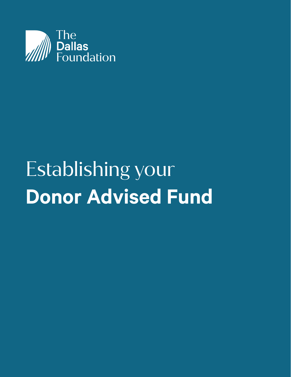

# Establishing your **Donor Advised Fund**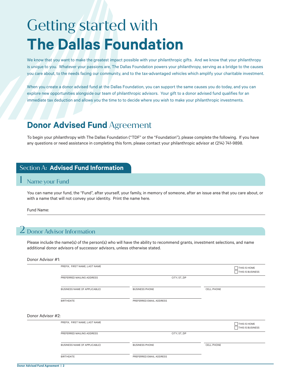## Getting started with **The Dallas Foundation**

We know that you want to make the greatest impact possible with your philanthropic gifts. And we know that your philanthropy is unique to you. Whatever your passions are, The Dallas Foundation powers your philanthropy, serving as a bridge to the causes you care about, to the needs facing our community, and to the tax-advantaged vehicles which amplify your charitable investment.

When you create a donor advised fund at the Dallas Foundation, you can support the same causes you do today, and you can explore new opportunities alongside our team of philanthropic advisors. Your gift to a donor advised fund qualifies for an immediate tax deduction and allows you the time to to decide where you wish to make your philanthropic investments.

## **Donor Advised Fund** Agreement

To begin your philanthropy with The Dallas Foundation ("TDF" or the "Foundation"), please complete the following. If you have any questions or need assistance in completing this form, please contact your philanthropic advisor at (214) 741-9898.

#### Section A: **Advised Fund Information**

#### Name your Fund

You can name your fund, the "Fund", after yourself, your family, in memory of someone, after an issue area that you care about, or with a name that will not convey your identity. Print the name here.

Fund Name:

#### $\boldsymbol{Z}$  Donor Advisor Information

Please include the name(s) of the person(s) who will have the ability to recommend grants, investment selections, and name additional donor advisors of successor advisors, unless otherwise stated.

#### Donor Advisor #1:

|                   | PREFIX, FIRST NAME, LAST NAME        |                         |            | THIS IS HOME<br>THIS IS BUSINESS |
|-------------------|--------------------------------------|-------------------------|------------|----------------------------------|
|                   | PREFERRED MAILING ADDRESS            | CITY, ST, ZIP           |            |                                  |
|                   | <b>BUSINESS NAME (IF APPLICABLE)</b> | <b>BUSINESS PHONE</b>   | CELL PHONE |                                  |
|                   | <b>BIRTHDATE</b>                     | PREFERRED EMAIL ADDRESS |            |                                  |
| Donor Advisor #2: | PREFIX, FIRST NAME, LAST NAME        |                         |            | THIS IS HOME                     |
|                   | PREFERRED MAILING ADDRESS            | CITY, ST, ZIP           |            | THIS IS BUSINESS                 |
|                   | <b>BUSINESS NAME (IF APPLICABLE)</b> | <b>BUSINESS PHONE</b>   | CELL PHONE |                                  |
|                   | <b>BIRTHDATE</b>                     | PREFERRED EMAIL ADDRESS |            |                                  |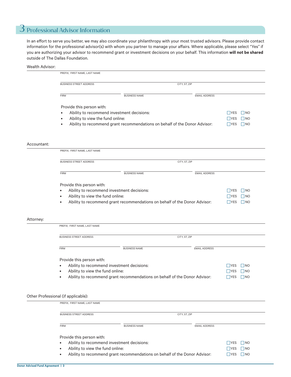## 3 Professional Advisor Information

In an effort to serve you better, we may also coordinate your philanthropy with your most trusted advisors. Please provide contact information for the professional advisor(s) with whom you partner to manage your affairs. Where applicable, please select "Yes" if you are authorizing your advisor to recommend grant or investment decisions on your behalf. This information **will not be shared** outside of The Dallas Foundation.

#### Wealth Advisor:

|             | PREFIX, FIRST NAME, LAST NAME                   |                                                                            |                      |                                 |
|-------------|-------------------------------------------------|----------------------------------------------------------------------------|----------------------|---------------------------------|
|             | <b>BUSINESS STREET ADDRESS</b><br>CITY, ST, ZIP |                                                                            |                      |                                 |
|             | <b>FIRM</b>                                     | <b>BUSINESS NAME</b>                                                       | <b>EMAIL ADDRESS</b> |                                 |
|             | Provide this person with:                       |                                                                            |                      |                                 |
|             | ٠                                               | Ability to recommend investment decisions:                                 |                      | <b>NES</b><br>$\vert$ NO        |
|             | Ability to view the fund online:<br>$\bullet$   |                                                                            |                      | $\Box$ YES<br>$\blacksquare$ NO |
|             | $\bullet$                                       | Ability to recommend grant recommendations on behalf of the Donor Advisor: |                      | $\Box$ YES<br>$\Box$ NO         |
| Accountant: |                                                 |                                                                            |                      |                                 |
|             | PREFIX, FIRST NAME, LAST NAME                   |                                                                            |                      |                                 |
|             | <b>BUSINESS STREET ADDRESS</b>                  |                                                                            | CITY, ST, ZIP        |                                 |
|             | <b>FIRM</b>                                     | <b>BUSINESS NAME</b>                                                       | <b>EMAIL ADDRESS</b> |                                 |
|             | Provide this person with:                       |                                                                            |                      |                                 |
|             |                                                 | Ability to recommend investment decisions:                                 |                      | <b>YES</b><br>$\vert$ NO        |
|             | Ability to view the fund online:                |                                                                            |                      | <b>YES</b><br>$\Box$ NO         |
|             |                                                 | Ability to recommend grant recommendations on behalf of the Donor Advisor: |                      | $\Box$ YES<br>$\Box$ NO         |
| Attorney:   |                                                 |                                                                            |                      |                                 |
|             | PREFIX, FIRST NAME, LAST NAME                   |                                                                            |                      |                                 |
|             | <b>BUSINESS STREET ADDRESS</b>                  |                                                                            | CITY, ST, ZIP        |                                 |
|             | <b>FIRM</b>                                     | <b>BUSINESS NAME</b>                                                       | <b>EMAIL ADDRESS</b> |                                 |
|             | Provide this person with:                       |                                                                            |                      |                                 |
|             |                                                 | Ability to recommend investment decisions:                                 |                      | NO<br><b>YES</b>                |
|             | Ability to view the fund online:                |                                                                            |                      | _  NO<br><b>IYES</b>            |
|             |                                                 | Ability to recommend grant recommendations on behalf of the Donor Advisor: |                      | $\Box$ YES<br>$\Box$ NO         |
|             |                                                 |                                                                            |                      |                                 |
|             | Other Professional (if applicable):             |                                                                            |                      |                                 |
|             | PREFIX, FIRST NAME, LAST NAME                   |                                                                            |                      |                                 |
|             | <b>BUSINESS STREET ADDRESS</b>                  |                                                                            | CITY, ST, ZIP        |                                 |
|             | <b>FIRM</b>                                     | <b>BUSINESS NAME</b>                                                       | <b>EMAIL ADDRESS</b> |                                 |

Provide this person with:

• Ability to recommend investment decisions:

 $\Box$ YES  $\Box$ NO

YES NO ■YES ■ NO

- Ability to view the fund online:
- Ability to recommend grant recommendations on behalf of the Donor Advisor: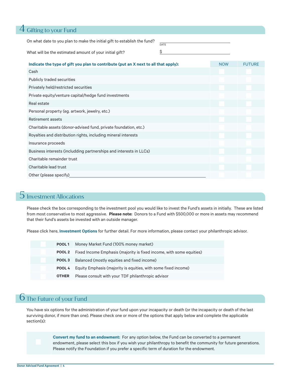## 4 Gifting to your Fund

On what date to you plan to make the initial gift to establish the fund? DATE

What will be the estimated amount of your initial gift?

| Indicate the type of gift you plan to contribute (put an X next to all that apply): | <b>NOW</b> | <b>FUTURE</b> |  |  |
|-------------------------------------------------------------------------------------|------------|---------------|--|--|
| Cash                                                                                |            |               |  |  |
| <b>Publicly traded securities</b>                                                   |            |               |  |  |
| Privately held/restricted securities                                                |            |               |  |  |
| Private equity/venture capital/hedge fund investments                               |            |               |  |  |
| Real estate                                                                         |            |               |  |  |
| Personal property (eg. artwork, jewelry, etc.)                                      |            |               |  |  |
| Retirement assets                                                                   |            |               |  |  |
| Charitable assets (donor-advised fund, private foundation, etc.)                    |            |               |  |  |
| Royalties and distribution rights, including mineral interests                      |            |               |  |  |
| Insurance proceeds                                                                  |            |               |  |  |
| Business interests (includding partnerships and interests in LLCs)                  |            |               |  |  |
| Charitable remainder trust                                                          |            |               |  |  |
| Charitable lead trust                                                               |            |               |  |  |
| Other (please specify)                                                              |            |               |  |  |

\$

## 5 Investment Allocations

Please check the box corresponding to the investment pool you would like to invest the Fund's assets in initially. These are listed from most conservative to most aggressive. **Please note:** Donors to a Fund with \$500,000 or more in assets may recommend that their fund's assets be invested with an outside manager.

Please click here, **Investment Options** for further detail. For more information, please contact your philanthropic advisor.

| POOL <sub>1</sub> | Money Market Fund (100% money market)                                |
|-------------------|----------------------------------------------------------------------|
| POOL 2            | Fixed Income Emphasis (majority is fixed income, with some equities) |
| POOL 3            | Balanced (mostly equities and fixed income)                          |
| POOL 4            | Equity Emphasis (majority is equities, with some fixed income)       |
| <b>OTHER</b>      | Please consult with your TDF philanthropic advisor                   |

## **b** The Future of your Fund

You have six options for the administration of your fund upon your incapacity or death (or the incapacity or death of the last surviving donor, if more than one). Please check one or more of the options that apply below and complete the applicable section(s):

> **Convert my fund to an endowment:** For any option below, the Fund can be converted to a permanent endowment, please select this box if you wish your philanthropy to benefit the community for future generations. Please notify the Foundation if you prefer a specific term of duration for the endowment.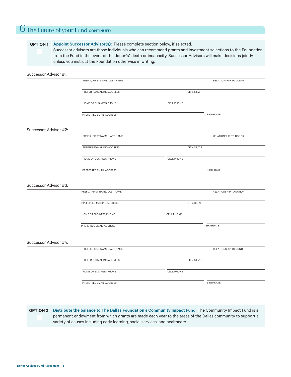## **6** The Future of your Fund **CONTINUED**

#### **OPTION 1** Appoint Successor Advisor(s): Please complete section below, if selected.

Successor advisors are those individuals who can recommend grants and investment selections to the Foundation from the Fund in the event of the donor(s) death or incapacity. Successor Advisors will make decisions jointly unless you instruct the Foundation otherwise in writing.

| Successor Advisor #1: |                               |                   |                       |
|-----------------------|-------------------------------|-------------------|-----------------------|
|                       | PREFIX, FIRST NAME, LAST NAME |                   | RELATIONSHIP TO DONOR |
|                       | PREFERRED MAILING ADDRESS     | CITY, ST, ZIP     |                       |
|                       | HOME OR BUSINESS PHONE        | CELL PHONE        |                       |
|                       | PREFERRED EMAIL ADDRESS       |                   | <b>BIRTHDATE</b>      |
| Successor Advisor #2: |                               |                   |                       |
|                       | PREFIX, FIRST NAME, LAST NAME |                   | RELATIONSHIP TO DONOR |
|                       | PREFERRED MAILING ADDRESS     | CITY, ST, ZIP     |                       |
|                       | HOME OR BUSINESS PHONE        | CELL PHONE        |                       |
|                       | PREFERRED EMAIL ADDRESS       |                   | <b>BIRTHDATE</b>      |
| Successor Advisor #3: |                               |                   |                       |
|                       | PREFIX, FIRST NAME, LAST NAME |                   | RELATIONSHIP TO DONOR |
|                       | PREFERRED MAILING ADDRESS     | CITY, ST, ZIP     |                       |
|                       | HOME OR BUSINESS PHONE        | <b>CELL PHONE</b> |                       |
|                       | PREFERRED EMAIL ADDRESS       |                   | <b>BIRTHDATE</b>      |
| Successor Advisor #4: |                               |                   |                       |
|                       | PREFIX, FIRST NAME, LAST NAME |                   | RELATIONSHIP TO DONOR |
|                       | PREFERRED MAILING ADDRESS     | CITY, ST, ZIP     |                       |
|                       | HOME OR BUSINESS PHONE        | CELL PHONE        |                       |
|                       | PREFERRED EMAIL ADDRESS       |                   | <b>BIRTHDATE</b>      |

**Distribute the balance to The Dallas Foundation's Community Impact Fund.** The Community Impact Fund is a **OPTION 2**permanent endowment from which grants are made each year to the areas of the Dallas community to support a variety of causes including early learning, social services, and healthcare.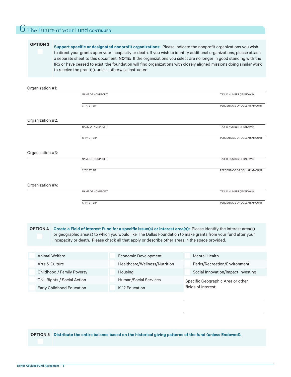### **6** The Future of your Fund **CONTINUED**

#### **OPTION 3**

**Support specific or designated nonprofit organizations:** Please indicate the nonprofit organizations you wish to direct your grants upon your incapacity or death. If you wish to identify additional organizations, please attach a separate sheet to this document. **NOTE:** If the organizations you select are no longer in good standing with the IRS or have ceased to exist, the foundation will find organizations with closely aligned missions doing similar work to receive the grant(s), unless otherwise instructed.

#### NAME OF NONPROFIT CITY, ST, ZIP PERCENTAGE OR DOLLAR AMOUNT TAX ID NUMBER (IF KNOWN) Organization #1: NAME OF NONPROFIT CITY, ST, ZIP PERCENTAGE OR DOLLAR AMOUNT TAX ID NUMBER (IF KNOWN) Organization #2: NAME OF NONPROFIT CITY, ST, ZIP PERCENTAGE OR DOLLAR AMOUNT TAX ID NUMBER (IF KNOWN) Organization #3: NAME OF NONPROFIT CITY, ST, ZIP PERCENTAGE OR DOLLAR AMOUNT TAX ID NUMBER (IF KNOWN) Organization #4:

**Create a Field of Interest Fund for a specific issue(s) or interest area(s):** Please identify the interest area(s) or geographic area(s) to which you would like The Dallas Foundation to make grants from your fund after your incapacity or death. Please check all that apply or describe other areas in the space provided. **OPTION 4**

| Animal Welfare                   | Economic Development          | Mental Health                      |
|----------------------------------|-------------------------------|------------------------------------|
| Arts & Culture                   | Healthcare/Wellness/Nutrition | Parks/Recreation/Environment       |
| Childhood / Family Poverty       | Housing                       | Social Innovation/Impact Investing |
| Civil Rights / Social Action     | <b>Human/Social Services</b>  | Specific Geographic Area or other  |
| <b>Early Childhood Education</b> | K-12 Education                | fields of interest:                |

**OPTION 5 Distribute the entire balance based on the historical giving patterns of the fund (unless Endowed).**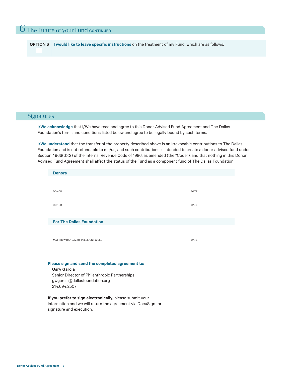**OPTION 6 I would like to leave specific instructions** on the treatment of my Fund, which are as follows:

#### **Signatures**

**I/We acknowledge** that I/We have read and agree to this Donor Advised Fund Agreement and The Dallas Foundation's terms and conditions listed below and agree to be legally bound by such terms.

**I/We understand** that the transfer of the property described above is an irrevocable contributions to The Dallas Foundation and is not refundable to me/us, and such contributions is intended to create a donor advised fund under Section 4966(d)(2) of the Internal Revenue Code of 1986, as amended (the "Code"), and that nothing in this Donor Advised Fund Agreement shall affect the status of the Fund as a component fund of The Dallas Foundation.

| <b>Donors</b>                                                                                  |      |
|------------------------------------------------------------------------------------------------|------|
|                                                                                                |      |
| <b>DONOR</b>                                                                                   | DATE |
| <b>DONOR</b>                                                                                   | DATE |
| <b>For The Dallas Foundation</b>                                                               |      |
|                                                                                                |      |
| MATTHEW RANDAZZO, PRESIDENT & CEO                                                              | DATE |
|                                                                                                |      |
| Please sign and send the completed agreement to:                                               |      |
| <b>Gary Garcia</b>                                                                             |      |
| Senior Director of Philanthropic Partnerships<br>gwgarcia@dallasfoundation.org<br>214.694.2507 |      |
| .<br>$\sim$ $\sim$                                                                             |      |

**If you prefer to sign electronically,** please submit your information and we will return the agreement via DocuSign for signature and execution.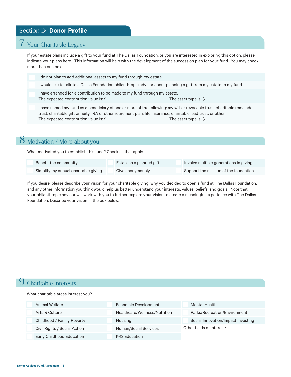#### Section B: **Donor Profile**

#### 7 Your Charitable Legacy

If your estate plans include a gift to your fund at The Dallas Foundation, or you are interested in exploring this option, please indicate your plans here. This information will help with the development of the succession plan for your fund. You may check more than one box.

I do not plan to add additional assets to my fund through my estate. I would like to talk to a Dallas Foundation philanthropic advisor about planning a gift from my estate to my fund. I have arranged for a contribution to be made to my fund through my estate. The expected contribution value is: \$ The asset type is: \$

I have named my fund as a beneficiary of one or more of the following: my will or revocable trust, charitable remainder trust, charitable gift annuity, IRA or other retirement plan, life insurance, charitable lead trust, or other. The expected contribution value is:  $\Diamond$  The asset type is:  $\Diamond$ 

## 8 Motivation / More about you

What motivated you to establish this fund? Check all that apply.

| Benefit the community                | Establish a planned gift | Involve multiple generations in giving |
|--------------------------------------|--------------------------|----------------------------------------|
| Simplify my annual charitable giving | Give anonymously         | Support the mission of the foundation  |

If you desire, please describe your vision for your charitable giving, why you decided to open a fund at The Dallas Foundation, and any other information you think would help us better understand your interests, values, beliefs, and goals. Note that your philanthropic advisor will work with you to further explore your vision to create a meaningful experience with The Dallas Foundation. Describe your vision in the box below:

#### 9 Charitable Interests

What charitable areas interest you?

| Animal Welfare               | Economic Development          | Mental Health                      |
|------------------------------|-------------------------------|------------------------------------|
| Arts & Culture               | Healthcare/Wellness/Nutrition | Parks/Recreation/Environment       |
| Childhood / Family Poverty   | Housing                       | Social Innovation/Impact Investing |
| Civil Rights / Social Action | Human/Social Services         | Other fields of interest:          |
| Early Childhood Education    | K-12 Education                |                                    |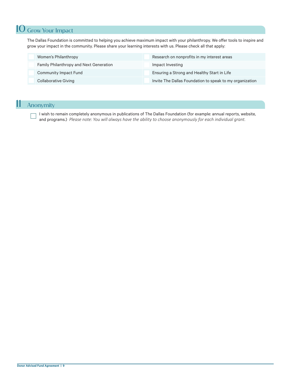## 10 Grow Your Impact

The Dallas Foundation is committed to helping you achieve maximum impact with your philanthropy. We offer tools to inspire and grow your impact in the community. Please share your learning interests with us. Please check all that apply:

| Women's Philanthropy                           | Research on nonprofits in my interest areas              |
|------------------------------------------------|----------------------------------------------------------|
| <b>Family Philanthropy and Next Generation</b> | Impact Investing                                         |
| <b>Community Impact Fund</b>                   | Ensuring a Strong and Healthy Start in Life              |
| <b>Collaborative Giving</b>                    | Invite The Dallas Foundation to speak to my organization |

## 11 Anonymity

I wish to remain completely anonymous in publications of The Dallas Foundation (for example: annual reports, website, and programs.) *Please note: You will always have the ability to choose anonymously for each individual grant.*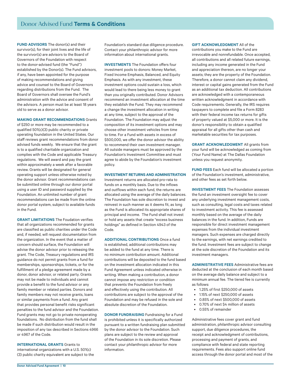**FUND ADVISORS** The donor(s) and their survivor(s), for their joint lives and the life of the survivor(s) are advisors to the Board of Governors of the Foundation with respect to the donor-advised fund (the "Fund") established by the Donor(s). The Fund advisors, if any, have been appointed for the purpose of making recommendations and giving advice and counsel to the Board of Governors regarding distributions from the Fund. The Board of Governors shall oversee the Fund's administration with the advice and consent of the advisors. A person must be at least 18 years old to serve as a donor advisor.

#### **MAKING GRANT RECOMMENDATIONS** Grants

of \$250 or more may be recommended to a qualified 501(c)(3) public charity or private operating foundation in the United States. Our staff reviews grant recommendations from donor advised funds weekly. We ensure that the grant is to a qualified charitable organization and complies with the Code and applicable Treasury regulations. We will award and pay the grant within approximately a week after a favorable review. Grants will be designated for general operating support unless otherwise noted by the donor advisor. Grant recommendations can be submitted online through our donor portal using a user ID and password supplied by the Foundation. An unlimited number of grant recommendations can be made from the online donor portal system, subject to available funds in the Fund.

**GRANT LIMITATIONS** The Foudation verifies that all organizations recommended for grants are classified as public charities under the Code and, if needed, will request documentation from the organization. In the event that a matter of concern should surface, the Foundation will advise the donor advisor prior to releasing the grant. The Code, Treasury regulations and IRS guidance do not permit grants from a fund for memberships, sponsorships, tickets, or for the fulfillment of a pledge agreement made by a donor, donor advisor, or related party. Grants may not be made to individuals and cannot provide a benefit to the fund advisor or any family member or related parties. Donors and family members may not receive grants, loans or similar payments from a fund. Any grant that provides personal benefit risks significant penalties to the fund advisor and the Foundation. Fund grants may not go to private nonoperating foundations. No distribution from the fund shall be made if such distribution would result in the imposition of any tax described in Sections 4966 or 4967 of the Code.

**INTERNATIONAL GRANTS** Grants to international organizations with a U.S. 501(c) (3) public charity equivalent are subject to the Foundation's standard due diligence procedure. Contact your philanthropic advisor for more information about international grants.

**INVESTMENTS** The Foundation offers four investment pools to donors: Money Market, Fixed Income Emphasis, Balanced, and Equity Emphasis. As with any investment, these investment options could sustain a loss, which would lead to there being less money to grant than you originally contributed. Donor Advisors recommend an investment allocation at the time they establish the Fund. They may recommend a change the investment allocation in writing at any time, subject to the approval of the Foundation. The Foundation may adjust the composition of its investment options and may choose other investment vehicles from time to time. For a Fund with assets in excess of \$500,000, we offer the donor advisor the ability to recommend their own investment manager. All outside managers must be approved by the Foundation's Investment Committee and must agree to abide by the Foundation's investment policy.

#### **INVESTMENT RETURNS AND ADMINISTRATION**

Investment returns are allocated pro-rata to funds on a monthly basis. Due to the inflows and outflows within each fund, the returns are allocated using the average of the daily balances. The Foundation has sole discretion to invest and reinvest in such manner as it deems fit, as long as the Fund is allocated its appropriate shares of principal and income. The Fund shall not invest or hold any assets that create "excess business holdings" as defined in Section 4943 of the Code.

**ADDITIONAL CONTRIBUTIONS** Once a fund is established, additional contributions may be added to the fund at any time. There is no minimum contribution amount. Additional contributions will be deposited to the fund based on the investment allocation indicated in this Fund Agreement unless indicated otherwise in writing. When making a contribution, a donor cannot impose any restriction or condition that prevents the Foundation from freely and effectively using the contribution. All contributions are subject to the approval of the Foundation and may be refused in the sole and absolute discretion of the Foundation.

**DONOR FUNDRAISING** Fundraising for a Fund is prohibited unless it is specifically authorized pursuant to a written fundraising plan submitted by the donor advisor to the Foundation. Such plans are subject to the review and approval of the Foundation in its sole discretion. Please contact your philanthropic advisor for more information.

**GIFT ACKNOWLEDGMENT** All of the

contributions you make to the Fund are irrevocable and nonrefundable. Once accepted, all contributions and all related future earnings, including any income generated in the Fund and appreciation thereon, are no longer your assets; they are the property of the Foundation. Therefore, a donor cannot claim any dividend, interest or capital gains generated from the Fund as an additional tax deduction. All contributions are acknowledged with a contemporaneous written acknowledgment in accordance with Code requirements. Generally, the IRS requires taxpayers to complete and file a Form 8283 with their federal income tax returns for gifts of property valued at \$5,000 or more. It is the donor's responsibility to obtain a qualified appraisal for all gifts other than cash and marketable securities for tax purposes.

**GRANT ACKNOWLEDGMENT** All grants from your fund will be acknowledged as coming from (Your Fund Name) at The Dallas Foundation unless you request anonymity.

**FUND FEES** Each fund will be allocated a portion of the Foundation's investment, administrative, and other fees as set forth below.

**INVESTMENT FEES** The Foundation assesses the fund an investment oversight fee to cover any underlying investment management costs, such as consulting, legal costs and taxes related to investment activity. This fee is assessed monthly based on the average of the daily balances in the fund. In addition, Funds are responsible for direct investment management expenses from the individual investment managers. Such expenses are charged directly to the earnings, with net earnings credited to the fund. Investment fees are subject to change at the sole discretion of the Foundation and its investment managers.

**ADMINISTRATIVE FEES** Administrative fees are deducted at the conclusion of each month based on the average daily balance and subject to a minimum annual fee. The tiered fee is currently as follows:

- 1.25% of first \$250,000 of assets
- 1.15% of next \$250,000 of assets
- 0.85% of next \$500,000 of assets
- 0.70% of next \$4 million of assets
- 0.55% of remainder

Administrative fees cover grant and fund administration, philanthropic advisor consulting support, due diligence procedures, the receipt and acknowledgment of contributions, processing and payment of grants, and compliance with federal and state reporting requirements. Fees also support online fund access through the donor portal and most of the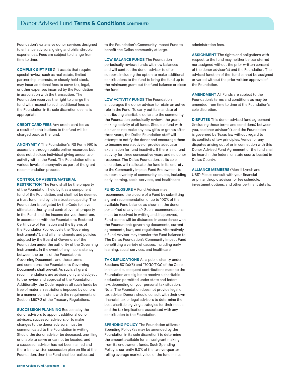Foundation's extensive donor services designed to enhance advisors' giving and philanthropic experiences. Fees are subject to change from time to time.

**COMPLEX GIFT FEE** Gift assets that require special review, such as real estate, limited partnership interests, or closely held stock, may incur additional fees to cover tax, legal, or other expenses incurred by the Foundation in association with the transaction. The Foundation reserves the right to charge the fund with respect to such additional fees as the Foundation in its sole discretion deems is appropriate.

**CREDIT CARD FEES** Any credit card fee as a result of contributions to the fund will be charged back to the fund.

**ANONYMITY** The Foundation's IRS Form 990 is accessible through public online resources but does not disclose individual giving amounts or activity within the Fund. The Foundation offers various levels of anonymity as part of the grant recommendation process.

#### **CONTROL OF ASSETS/MATERIAL**

**RESTRICTION** The Fund shall be the property of the Foundation, held by it as a component fund of the Foundation, and shall not be deemed a trust fund held by it in a trustee capacity. The Foundation is obligated by the Code to have ultimate authority and control over all property in the Fund, and the income derived therefrom, in accordance with the Foundation's Restated Certificate of Formation and the Bylaws of the Foundation (collectively the "Governing Instruments"), and all amendments and policies adopted by the Board of Governors of the Foundation under the authority of the Governing Instruments. In the event of any inconsistency between the terms of the Foundation's Governing Documents and these terms and conditions, the Foundation's Governing Documents shall prevail. As such, all grant recommendations are advisory only and subject to the review and approval of the Foundation. Additionally, the Code requires all such funds be free of material restrictions imposed by donors in a manner consistent with the requirements of Section 1.507-2 of the Treasury Regulations.

**SUCCESSION PLANNING** Requests by the donor advisors to appoint additional donor advisors, successor advisors, or to make changes to the donor advisors must be communicated to the Foundation in writing. Should the donor advisor be deceased, unwilling or unable to serve or cannot be located, and a successor advisor has not been named and there is no written succession plan on file at the Foundation, then the Fund shall be reallocated

to the Foundation's Community Impact Fund to benefit the Dallas community at large.

**LOW BALANCE FUNDS** The Foundation periodically reviews funds with low balances and will contact the donor advisor to offer support, including the option to make additional contributions to the fund to bring the fund up to the minimum; grant out the fund balance or close the fund.

**LOW ACTIVITY FUNDS** The Foundation encourages the donor advisor to retain an active role in the Fund. To carry out its mandate of distributing charitable dollars to the community, the Foundation periodically reviews the grant making activity of all funds. Should a fund with a balance not make any new gifts or grants after three years, the Dallas Foundation staff will attempt to notify the donor and encourage them to become more active or provide adequate explanation for fund inactivity. If there is no fund activity for three consecutive years and no donor response, The Dallas Foundation, at its sole discretion, will reallocate the fund in its entirety to the Community Impact Fund Endowment to support a variety of community causes, including early learning, social services, and healthcare.

**FUND CLOSURE** A Fund Advisor may recommend the closure of a Fund by submitting a grant recommendation of up to 100% of the available Fund balance as shown in the donor portal (net of any fees). Such recommendations must be received in writing and, if approved, Fund assets will be disbursed in accordance with the Foundation's governing documents, current agreements, laws, and regulations. Alternatively, a Fund Advisor may transfer the Fund balance to The Dallas Foundation's Community Impact Fund benefitting a variety of causes, including early learning, social services, and healthcare.

**TAX IMPLICATIONS** As a public charity under Sections 501(c)(3) and 170(b)(1)(a) of the Code, initial and subsequent contributions made to the Foundation are eligible to receive a charitable deduction permitted under state and federal law, depending on your personal tax situation. Note: The Foundation does not provide legal or tax advice. Donors should consult with their own financial, tax or legal advisors to determine the best charitable giving strategies for their needs and the tax implications associated with any contribution to the Foundation.

**SPENDING POLICY** The Foundation utilizes a Spending Policy (as may be amended by the Foundation in its sole discretion) to determine the amount available for annual grant making from its endowment funds. Such Spending Policy is currently 5.0% of the twelve-quarter rolling average market value of the fund minus administration fees.

**ASSIGNMENT** The rights and obligations with respect to the fund may neither be transferred nor assigned without the prior written consent of the donor advisor(s) and the Foundation. The advised function of the fund cannot be assigned or varied without the prior written approval of the Foundation.

**AMENDMENT** All Funds are subject to the Foundation's terms and conditions as may be amended from time to time at the Foundation's sole discretion.

**DISPUTES** This donor advised fund agreement (including these terms and conditions) between you, as donor advisor(s), and the Foundation is governed by Texas law without regard to its conflicts of law principles. Venue for any disputes arising out of or in connection with this Donor Advised Fund Agreement or the fund shall be heard in the federal or state courts located in Dallas County.

**ALLIANCE MEMBERS** (Merrill Lynch and UBS) Please consult with your financial or philanthropic advisor for fee schedule, investment options, and other pertinent details.